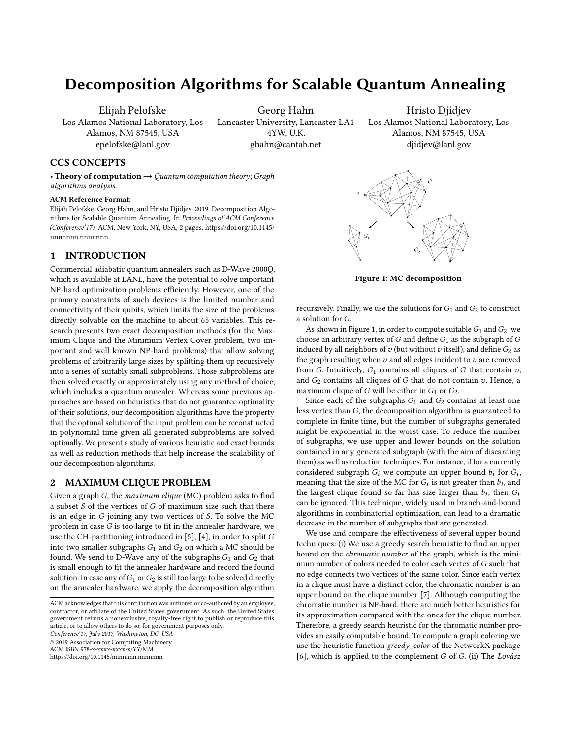# Decomposition Algorithms for Scalable Quantum Annealing

Elijah Pelofske Los Alamos National Laboratory, Los Alamos, NM 87545, USA epelofske@lanl.gov

Georg Hahn

Lancaster University, Lancaster LA1 4YW, U.K. ghahn@cantab.net

Hristo Djidjev Los Alamos National Laboratory, Los Alamos, NM 87545, USA djidjev@lanl.gov

# CCS CONCEPTS

• Theory of computation  $\rightarrow$  Quantum computation theory; Graph algorithms analysis.

#### ACM Reference Format:

Elijah Pelofske, Georg Hahn, and Hristo Djidjev. 2019. Decomposition Algorithms for Scalable Quantum Annealing. In Proceedings of ACM Conference (Conference'17). ACM, New York, NY, USA, [2](#page-1-0) pages. [https://doi.org/10.1145/](https://doi.org/10.1145/nnnnnnn.nnnnnnn) [nnnnnnn.nnnnnnn](https://doi.org/10.1145/nnnnnnn.nnnnnnn)

# 1 INTRODUCTION

Commercial adiabatic quantum annealers such as D-Wave 2000Q, which is available at LANL, have the potential to solve important NP-hard optimization problems efficiently. However, one of the primary constraints of such devices is the limited number and connectivity of their qubits, which limits the size of the problems directly solvable on the machine to about 65 variables. This research presents two exact decomposition methods (for the Maximum Clique and the Minimum Vertex Cover problem, two important and well known NP-hard problems) that allow solving problems of arbitrarily large sizes by splitting them up recursively into a series of suitably small subproblems. Those subproblems are then solved exactly or approximately using any method of choice, which includes a quantum annealer. Whereas some previous approaches are based on heuristics that do not guarantee optimality of their solutions, our decomposition algorithms have the property that the optimal solution of the input problem can be reconstructed in polynomial time given all generated subproblems are solved optimally. We present a study of various heuristic and exact bounds as well as reduction methods that help increase the scalability of our decomposition algorithms.

## 2 MAXIMUM CLIQUE PROBLEM

Given a graph G, the maximum clique (MC) problem asks to find a subset  $S$  of the vertices of  $G$  of maximum size such that there is an edge in G joining any two vertices of S. To solve the MC problem in case  $G$  is too large to fit in the annealer hardware, we use the CH-partitioning introduced in [\[5\]](#page-1-1), [\[4\]](#page-1-2), in order to split G into two smaller subgraphs  $G_1$  and  $G_2$  on which a MC should be found. We send to D-Wave any of the subgraphs  $G_1$  and  $G_2$  that is small enough to fit the annealer hardware and record the found solution. In case any of  $G_1$  or  $G_2$  is still too large to be solved directly on the annealer hardware, we apply the decomposition algorithm

Conference'17, July 2017, Washington, DC, USA

© 2019 Association for Computing Machinery.

ACM ISBN 978-x-xxxx-xxxx-x/YY/MM.

<https://doi.org/10.1145/nnnnnnn.nnnnnnn>

<span id="page-0-0"></span>

Figure 1: MC decomposition

recursively. Finally, we use the solutions for  $G_1$  and  $G_2$  to construct a solution for G.

As shown in Figure [1,](#page-0-0) in order to compute suitable  $G_1$  and  $G_2$ , we choose an arbitrary vertex of  $G$  and define  $G_1$  as the subgraph of  $G$ induced by all neighbors of  $v$  (but without  $v$  itself), and define  $G_2$  as the graph resulting when  $v$  and all edges incident to  $v$  are removed from G. Intuitively,  $G_1$  contains all cliques of G that contain  $v$ , and  $G_2$  contains all cliques of G that do not contain  $v$ . Hence, a maximum clique of G will be either in  $G_1$  or  $G_2$ .

Since each of the subgraphs  $G_1$  and  $G_2$  contains at least one less vertex than G, the decomposition algorithm is guaranteed to complete in finite time, but the number of subgraphs generated might be exponential in the worst case. To reduce the number of subgraphs, we use upper and lower bounds on the solution contained in any generated subgraph (with the aim of discarding them) as well as reduction techniques. For instance, if for a currently considered subgraph  $G_i$  we compute an upper bound  $b_i$  for  $G_i$ , meaning that the size of the MC for G<sub>i</sub> is not greater than  $b_i$ , and meaning that the size of the MC for  $G_i$  is not greater than  $b_i$ , and the largest clique found so for has size larger than  $b_i$ , then  $G_i$ the largest clique found so far has size larger than  $b_i$ , then  $G_i$ <br>can be ignored. This technique widely used in branch-and-bound can be ignored. This technique, widely used in branch-and-bound algorithms in combinatorial optimization, can lead to a dramatic decrease in the number of subgraphs that are generated.

We use and compare the effectiveness of several upper bound techniques: (i) We use a greedy search heuristic to find an upper bound on the chromatic number of the graph, which is the minimum number of colors needed to color each vertex of G such that no edge connects two vertices of the same color. Since each vertex in a clique must have a distinct color, the chromatic number is an upper bound on the clique number [\[7\]](#page-1-3). Although computing the chromatic number is NP-hard, there are much better heuristics for its approximation compared with the ones for the clique number. Therefore, a greedy search heuristic for the chromatic number provides an easily computable bound. To compute a graph coloring we use the heuristic function greedy\_color of the NetworkX package [\[6\]](#page-1-4), which is applied to the complement  $\overline{G}$  of G. (ii) The Lovász

ACM acknowledges that this contribution was authored or co-authored by an employee, contractor, or affiliate of the United States government. As such, the United States government retains a nonexclusive, royalty-free right to publish or reproduce this article, or to allow others to do so, for government purposes only.